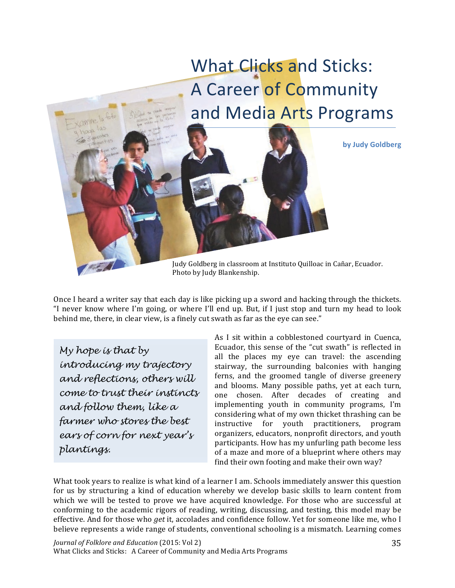

Once I heard a writer say that each day is like picking up a sword and hacking through the thickets. "I never know where I'm going, or where I'll end up. But, if I just stop and turn my head to look behind me, there, in clear view, is a finely cut swath as far as the eye can see."

My hope is that by introducing my trajectory and reflections, others will come to trust their instincts and follow them, like a farmer who stores the best ears of corn for next year's plantings.

As I sit within a cobblestoned courtvard in Cuenca. Ecuador, this sense of the "cut swath" is reflected in all the places my eve can travel: the ascending stairway, the surrounding balconies with hanging ferns, and the groomed tangle of diverse greenery and blooms. Many possible paths, yet at each turn, one chosen. After decades of creating and implementing youth in community programs, I'm considering what of my own thicket thrashing can be instructive for vouth practitioners, program organizers, educators, nonprofit directors, and youth participants. How has my unfurling path become less of a maze and more of a blueprint where others may find their own footing and make their own way?

What took years to realize is what kind of a learner I am. Schools immediately answer this question for us by structuring a kind of education whereby we develop basic skills to learn content from which we will be tested to prove we have acquired knowledge. For those who are successful at conforming to the academic rigors of reading, writing, discussing, and testing, this model may be effective. And for those who *get* it, accolades and confidence follow. Yet for someone like me, who I believe represents a wide range of students, conventional schooling is a mismatch. Learning comes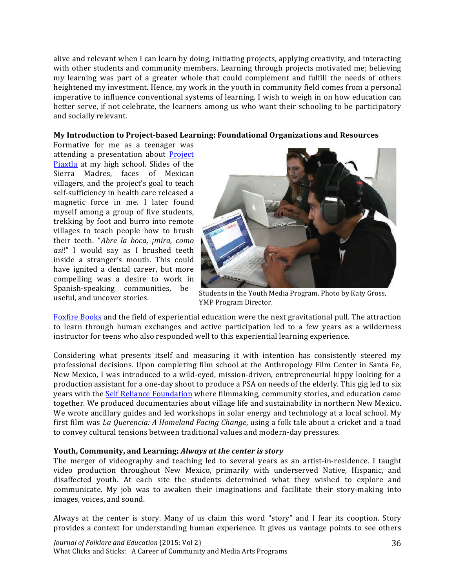alive and relevant when I can learn by doing, initiating projects, applying creativity, and interacting with other students and community members. Learning through projects motivated me; believing my learning was part of a greater whole that could complement and fulfill the needs of others heightened my investment. Hence, my work in the youth in community field comes from a personal imperative to influence conventional systems of learning. I wish to weigh in on how education can better serve, if not celebrate, the learners among us who want their schooling to be participatory and socially relevant.

## My Introduction to Project-based Learning: Foundational Organizations and Resources

Formative for me as a teenager was attending a presentation about Project Piaxtla at my high school. Slides of the Sierra Madres, faces of Mexican villagers, and the project's goal to teach self-sufficiency in health care released a magnetic force in me. I later found myself among a group of five students. trekking by foot and burro into remote villages to teach people how to brush their teeth. "Abre la boca, ¡mira, como asi!" I would say as I brushed teeth inside a stranger's mouth. This could have ignited a dental career, but more compelling was a desire to work in Spanish-speaking communities, be useful, and uncover stories.



Students in the Youth Media Program. Photo by Katy Gross, YMP Program Director.

Foxfire Books and the field of experiential education were the next gravitational pull. The attraction to learn through human exchanges and active participation led to a few years as a wilderness instructor for teens who also responded well to this experiential learning experience.

Considering what presents itself and measuring it with intention has consistently steered my professional decisions. Upon completing film school at the Anthropology Film Center in Santa Fe, New Mexico, I was introduced to a wild-eved, mission-driven, entrepreneurial hippy looking for a production assistant for a one-day shoot to produce a PSA on needs of the elderly. This gig led to six years with the Self Reliance Foundation where filmmaking, community stories, and education came together. We produced documentaries about village life and sustainability in northern New Mexico. We wrote ancillary guides and led workshops in solar energy and technology at a local school. My first film was La Querencia: A Homeland Facing Change, using a folk tale about a cricket and a toad to convey cultural tensions between traditional values and modern-day pressures.

## Youth, Community, and Learning: Always at the center is story

The merger of videography and teaching led to several years as an artist-in-residence. I taught video production throughout New Mexico, primarily with underserved Native, Hispanic, and disaffected youth. At each site the students determined what they wished to explore and communicate. My job was to awaken their imaginations and facilitate their story-making into images, voices, and sound.

Always at the center is story. Many of us claim this word "story" and I fear its cooption. Story provides a context for understanding human experience. It gives us vantage points to see others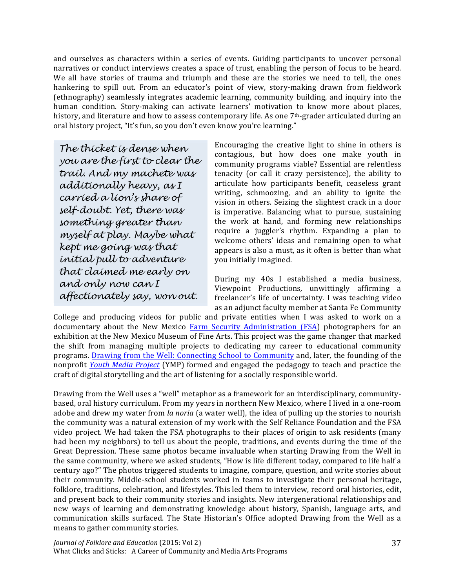and ourselves as characters within a series of events. Guiding participants to uncover personal narratives or conduct interviews creates a space of trust, enabling the person of focus to be heard. We all have stories of trauma and triumph and these are the stories we need to tell, the ones hankering to spill out. From an educator's point of view, story-making drawn from fieldwork (ethnography) seamlessly integrates academic learning, community building, and inquiry into the human condition. Story-making can activate learners' motivation to know more about places, history, and literature and how to assess contemporary life. As one 7<sup>th</sup>-grader articulated during an oral history project, "It's fun, so you don't even know you're learning."

The thicket is dense when you are the first to clear the trail. And my machete was additionally heavy, as I carried a lion's share of self-doubt. Yet, there was something greater than myself at play. Maybe what kept me going was that initial pull to adventure that claimed me early on and only now can I affectionately say, won out.

Encouraging the creative light to shine in others is contagious, but how does one make youth in community programs viable? Essential are relentless tenacity (or call it crazy persistence), the ability to articulate how participants benefit, ceaseless grant writing, schmoozing, and an ability to ignite the vision in others. Seizing the slightest crack in a door is imperative. Balancing what to pursue, sustaining the work at hand, and forming new relationships require a juggler's rhythm. Expanding a plan to welcome others' ideas and remaining open to what appears is also a must, as it often is better than what you initially imagined.

During my 40s I established a media business, Viewpoint Productions, unwittingly affirming a freelancer's life of uncertainty. I was teaching video as an adjunct faculty member at Santa Fe Communitv

College and producing videos for public and private entities when I was asked to work on a documentary about the New Mexico Farm Security Administration (FSA) photographers for an exhibition at the New Mexico Museum of Fine Arts. This project was the game changer that marked the shift from managing multiple projects to dedicating my career to educational community programs. Drawing from the Well: Connecting School to Community and, later, the founding of the nonprofit Youth Media Project (YMP) formed and engaged the pedagogy to teach and practice the craft of digital storytelling and the art of listening for a socially responsible world.

Drawing from the Well uses a "well" metaphor as a framework for an interdisciplinary, communitybased, oral history curriculum. From my years in northern New Mexico, where I lived in a one-room adobe and drew my water from la noria (a water well), the idea of pulling up the stories to nourish the community was a natural extension of my work with the Self Reliance Foundation and the FSA video project. We had taken the FSA photographs to their places of origin to ask residents (many had been my neighbors) to tell us about the people, traditions, and events during the time of the Great Depression. These same photos became invaluable when starting Drawing from the Well in the same community, where we asked students, "How is life different today, compared to life half a century ago?" The photos triggered students to imagine, compare, question, and write stories about their community. Middle-school students worked in teams to investigate their personal heritage, folklore, traditions, celebration, and lifestyles. This led them to interview, record oral histories, edit, and present back to their community stories and insights. New intergenerational relationships and new ways of learning and demonstrating knowledge about history, Spanish, language arts, and communication skills surfaced. The State Historian's Office adopted Drawing from the Well as a means to gather community stories.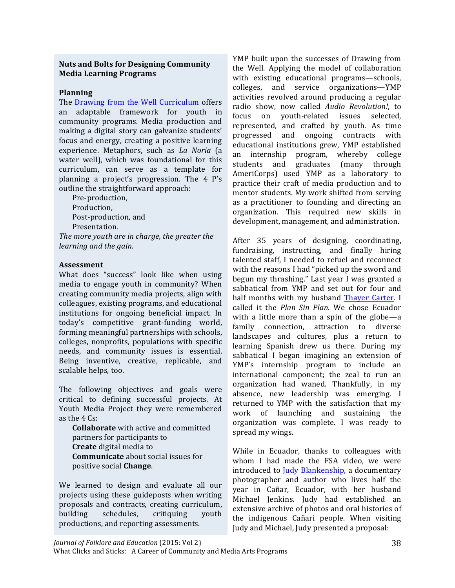## **Nuts and Bolts for Designing Community Media Learning Programs**

## **Planning**

The Drawing from the Well Curriculum offers an adaptable framework for vouth in community programs. Media production and making a digital story can galvanize students' focus and energy, creating a positive learning experience. Metaphors, such as La Noria (a water well), which was foundational for this curriculum, can serve as a template for planning a project's progression. The 4 P's outline the straightforward approach:

Pre-production. Production, Post-production, and Presentation.

The more youth are in charge, the greater the learning and the gain.

## **Assessment**

What does "success" look like when using media to engage youth in community? When creating community media projects, align with colleagues, existing programs, and educational institutions for ongoing beneficial impact. In today's competitive grant-funding world, forming meaningful partnerships with schools, colleges, nonprofits, populations with specific needs, and community issues is essential. Being inventive, creative, replicable, and scalable helps, too.

The following objectives and goals were critical to defining successful projects. At Youth Media Project they were remembered as the  $4 \text{ Cs}$ :

**Collaborate** with active and committed partners for participants to **Create** digital media to **Communicate** about social issues for positive social Change.

We learned to design and evaluate all our projects using these guideposts when writing proposals and contracts, creating curriculum, schedules, building critiquing youth productions, and reporting assessments.

YMP built upon the successes of Drawing from the Well. Applying the model of collaboration with existing educational programs-schools, colleges, and service organizations-YMP activities revolved around producing a regular radio show, now called Audio Revolution!, to focus on vouth-related issues selected. represented, and crafted by youth. As time progressed and ongoing contracts with educational institutions grew. YMP established an internship program, whereby college graduates (many through students and AmeriCorps) used YMP as a laboratory to practice their craft of media production and to mentor students. My work shifted from serving as a practitioner to founding and directing an organization. This required new skills in development, management, and administration.

After 35 years of designing, coordinating, fundraising, instructing, and finally hiring talented staff, I needed to refuel and reconnect with the reasons I had "picked up the sword and begun my thrashing." Last year I was granted a sabbatical from YMP and set out for four and half months with my husband Thayer Carter. I called it the Plan Sin Plan. We chose Ecuador with a little more than a spin of the globe—a family connection, attraction to diverse landscapes and cultures, plus a return to learning Spanish drew us there. During my sabbatical I began imagining an extension of YMP's internship program to include an international component; the zeal to run an organization had waned. Thankfully, in my absence, new leadership was emerging. I returned to YMP with the satisfaction that my work of launching and sustaining the organization was complete. I was ready to spread my wings.

While in Ecuador, thanks to colleagues with whom I had made the FSA video, we were introduced to Judy Blankenship, a documentary photographer and author who lives half the year in Cañar, Ecuador, with her husband Michael Jenkins. Judy had established an extensive archive of photos and oral histories of the indigenous Cañari people. When visiting Judy and Michael, Judy presented a proposal: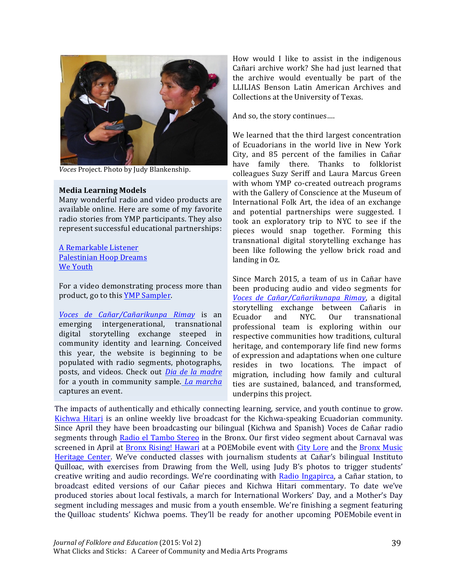

Voces Project. Photo by Judy Blankenship.

### **Media Learning Models**

Many wonderful radio and video products are available online. Here are some of my favorite radio stories from YMP participants. They also represent successful educational partnerships:

## A Remarkable Listener **Palestinian Hoop Dreams** We Youth

For a video demonstrating process more than product, go to this YMP Sampler.

Voces de Cañar/Cañarikunpa Rimay is an emerging intergenerational, transnational digital storytelling exchange steeped in community identity and learning. Conceived this year, the website is beginning to be populated with radio segments, photographs, posts, and videos. Check out Dia de la madre for a youth in community sample. La marcha captures an event.

How would I like to assist in the indigenous Cañari archive work? She had just learned that the archive would eventually be part of the LLILIAS Benson Latin American Archives and Collections at the University of Texas.

And so, the story continues....

We learned that the third largest concentration of Ecuadorians in the world live in New York City, and 85 percent of the families in Cañar have family there. Thanks to folklorist colleagues Suzy Seriff and Laura Marcus Green with whom YMP co-created outreach programs with the Gallery of Conscience at the Museum of International Folk Art, the idea of an exchange and potential partnerships were suggested. I took an exploratory trip to NYC to see if the pieces would snap together. Forming this transnational digital storytelling exchange has been like following the yellow brick road and landing in Oz.

Since March 2015, a team of us in Cañar have been producing audio and video segments for Voces de Cañar/Cañarikunapa Rimay, a digital storytelling exchange between Cañaris in NYC. Ecuador and  $0<sub>ur</sub>$ transnational professional team is exploring within our respective communities how traditions, cultural heritage, and contemporary life find new forms of expression and adaptations when one culture resides in two locations. The impact of migration, including how family and cultural ties are sustained, balanced, and transformed, underpins this project.

The impacts of authentically and ethically connecting learning, service, and youth continue to grow. Kichwa Hitari is an online weekly live broadcast for the Kichwa-speaking Ecuadorian community. Since April they have been broadcasting our bilingual (Kichwa and Spanish) Voces de Cañar radio segments through Radio el Tambo Stereo in the Bronx. Our first video segment about Carnaval was screened in April at Bronx Rising! Hawari at a POEMobile event with City Lore and the Bronx Music Heritage Center. We've conducted classes with journalism students at Cañar's bilingual Instituto Quilloac, with exercises from Drawing from the Well, using Judy B's photos to trigger students' creative writing and audio recordings. We're coordinating with Radio Ingapirca, a Cañar station, to broadcast edited versions of our Cañar pieces and Kichwa Hitari commentary. To date we've produced stories about local festivals, a march for International Workers' Day, and a Mother's Day segment including messages and music from a youth ensemble. We're finishing a segment featuring the Quilloac students' Kichwa poems. They'll be ready for another upcoming POEMobile event in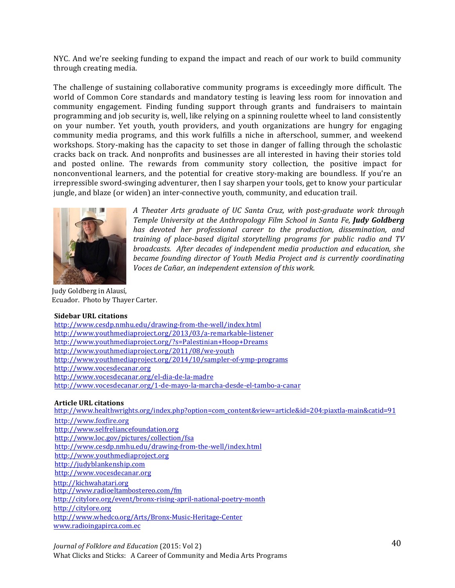NYC. And we're seeking funding to expand the impact and reach of our work to build community through creating media.

The challenge of sustaining collaborative community programs is exceedingly more difficult. The world of Common Core standards and mandatory testing is leaving less room for innovation and community engagement. Finding funding support through grants and fundraisers to maintain programming and job security is, well, like relying on a spinning roulette wheel to land consistently on your number. Yet youth, youth providers, and youth organizations are hungry for engaging community media programs, and this work fulfills a niche in afterschool, summer, and weekend workshops. Story-making has the capacity to set those in danger of falling through the scholastic cracks back on track. And nonprofits and businesses are all interested in having their stories told and posted online. The rewards from community story collection, the positive impact for nonconventional learners, and the potential for creative story-making are boundless. If you're an irrepressible sword-swinging adventurer, then I say sharpen your tools, get to know your particular jungle, and blaze (or widen) an inter-connective youth, community, and education trail.



A Theater Arts graduate of UC Santa Cruz, with post-graduate work through Temple University at the Anthropology Film School in Santa Fe, Judy Goldberg has devoted her professional career to the production, dissemination, and training of place-based digital storytelling programs for public radio and TV broadcasts. After decades of independent media production and education, she became founding director of Youth Media Project and is currently coordinating Voces de Cañar, an independent extension of this work.

Judy Goldberg in Alausí, Ecuador. Photo by Thayer Carter.

#### **Sidebar URL citations**

http://www.cesdp.nmhu.edu/drawing-from-the-well/index.html http://www.youthmediaproject.org/2013/03/a-remarkable-listener http://www.youthmediaproject.org/?s=Palestinian+Hoop+Dreams http://www.youthmediaproject.org/2011/08/we-youth http://www.youthmediaproject.org/2014/10/sampler-of-ymp-programs http://www.vocesdecanar.org http://www.vocesdecanar.org/el-dia-de-la-madre http://www.vocesdecanar.org/1-de-mayo-la-marcha-desde-el-tambo-a-canar

### **Article URL citations**

http://www.healthwrights.org/index.php?option=com\_content&view=article&id=204:piaxtla-main&catid=91

http://www.foxfire.org http://www.selfreliancefoundation.org http://www.loc.gov/pictures/collection/fsa http://www.cesdp.nmhu.edu/drawing-from-the-well/index.html http://www.youthmediaproject.org http://judyblankenship.com http://www.vocesdecanar.org http://kichwahatari.org http://www.radioeltambostereo.com/fm http://citylore.org/event/bronx-rising-april-national-poetry-month http://citylore.org http://www.whedco.org/Arts/Bronx-Music-Heritage-Center www.radioingapirca.com.ec